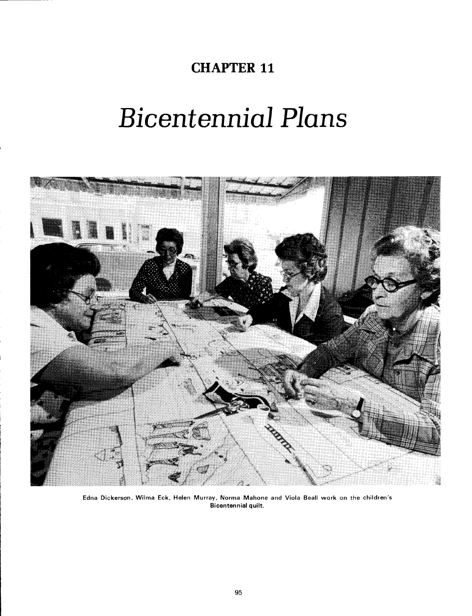# **CHAPTER 11**

# Bicentennial Plans



**Edna Dickerson, Wilma Eck, Helen Murray, Norma Mahone and Viola Beall work on the children's Bicentennial quilt.**